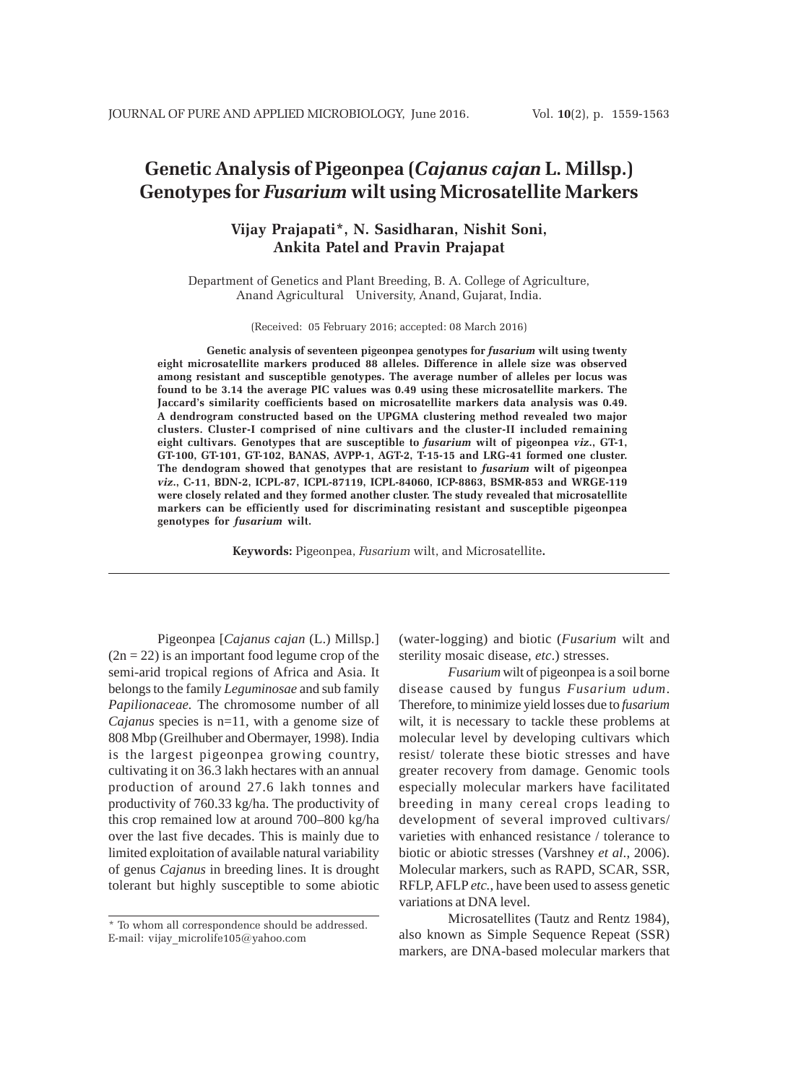# **Genetic Analysis of Pigeonpea (***Cajanus cajan* **L. Millsp.) Genotypes for** *Fusarium* **wilt using Microsatellite Markers**

# **Vijay Prajapati\*, N. Sasidharan, Nishit Soni, Ankita Patel and Pravin Prajapat**

Department of Genetics and Plant Breeding, B. A. College of Agriculture, Anand Agricultural University, Anand, Gujarat, India.

(Received: 05 February 2016; accepted: 08 March 2016)

**Genetic analysis of seventeen pigeonpea genotypes for** *fusarium* **wilt using twenty eight microsatellite markers produced 88 alleles. Difference in allele size was observed among resistant and susceptible genotypes. The average number of alleles per locus was found to be 3.14 the average PIC values was 0.49 using these microsatellite markers. The Jaccard's similarity coefficients based on microsatellite markers data analysis was 0.49. A dendrogram constructed based on the UPGMA clustering method revealed two major clusters. Cluster-I comprised of nine cultivars and the cluster-II included remaining eight cultivars. Genotypes that are susceptible to** *fusarium* **wilt of pigeonpea** *viz***., GT-1, GT-100, GT-101, GT-102, BANAS, AVPP-1, AGT-2, T-15-15 and LRG-41 formed one cluster. The dendogram showed that genotypes that are resistant to** *fusarium* **wilt of pigeonpea** *viz***., C-11, BDN-2, ICPL-87, ICPL-87119, ICPL-84060, ICP-8863, BSMR-853 and WRGE-119 were closely related and they formed another cluster. The study revealed that microsatellite markers can be efficiently used for discriminating resistant and susceptible pigeonpea genotypes for** *fusarium* **wilt.**

**Keywords:** Pigeonpea, *Fusarium* wilt, and Microsatellite**.**

Pigeonpea [*Cajanus cajan* (L.) Millsp.]  $(2n = 22)$  is an important food legume crop of the semi-arid tropical regions of Africa and Asia. It belongs to the family *Leguminosae* and sub family *Papilionaceae.* The chromosome number of all *Cajanus* species is n=11, with a genome size of 808 Mbp (Greilhuber and Obermayer, 1998). India is the largest pigeonpea growing country, cultivating it on 36.3 lakh hectares with an annual production of around 27.6 lakh tonnes and productivity of 760.33 kg/ha. The productivity of this crop remained low at around 700–800 kg/ha over the last five decades. This is mainly due to limited exploitation of available natural variability of genus *Cajanus* in breeding lines. It is drought tolerant but highly susceptible to some abiotic

(water-logging) and biotic (*Fusarium* wilt and sterility mosaic disease, *etc*.) stresses.

*Fusarium* wilt of pigeonpea is a soil borne disease caused by fungus *Fusarium udum*. Therefore, to minimize yield losses due to *fusarium* wilt, it is necessary to tackle these problems at molecular level by developing cultivars which resist/ tolerate these biotic stresses and have greater recovery from damage. Genomic tools especially molecular markers have facilitated breeding in many cereal crops leading to development of several improved cultivars/ varieties with enhanced resistance / tolerance to biotic or abiotic stresses (Varshney *et al*., 2006). Molecular markers, such as RAPD, SCAR, SSR, RFLP, AFLP *etc.*, have been used to assess genetic variations at DNA level.

Microsatellites (Tautz and Rentz 1984), also known as Simple Sequence Repeat (SSR) markers, are DNA-based molecular markers that

<sup>\*</sup> To whom all correspondence should be addressed. E-mail: vijay\_microlife105@yahoo.com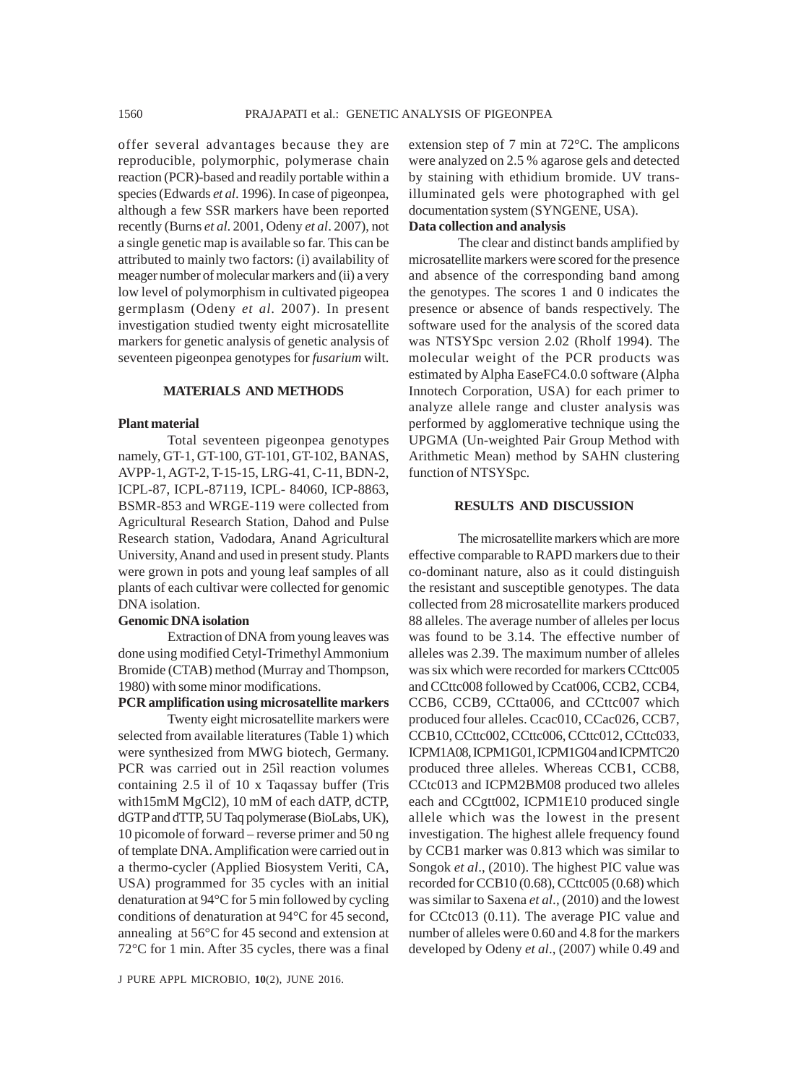offer several advantages because they are reproducible, polymorphic, polymerase chain reaction (PCR)-based and readily portable within a species (Edwards *et al*. 1996). In case of pigeonpea, although a few SSR markers have been reported recently (Burns *et al*. 2001, Odeny *et al*. 2007), not a single genetic map is available so far. This can be attributed to mainly two factors: (i) availability of meager number of molecular markers and (ii) a very low level of polymorphism in cultivated pigeopea germplasm (Odeny *et al*. 2007). In present investigation studied twenty eight microsatellite markers for genetic analysis of genetic analysis of seventeen pigeonpea genotypes for *fusarium* wilt.

# **MATERIALS AND METHODS**

#### **Plant material**

Total seventeen pigeonpea genotypes namely, GT-1, GT-100, GT-101, GT-102, BANAS, AVPP-1, AGT-2, T-15-15, LRG-41, C-11, BDN-2, ICPL-87, ICPL-87119, ICPL- 84060, ICP-8863, BSMR-853 and WRGE-119 were collected from Agricultural Research Station, Dahod and Pulse Research station, Vadodara, Anand Agricultural University, Anand and used in present study. Plants were grown in pots and young leaf samples of all plants of each cultivar were collected for genomic DNA isolation.

## **Genomic DNA isolation**

Extraction of DNA from young leaves was done using modified Cetyl-Trimethyl Ammonium Bromide (CTAB) method (Murray and Thompson, 1980) with some minor modifications.

#### **PCR amplification using microsatellite markers**

Twenty eight microsatellite markers were selected from available literatures (Table 1) which were synthesized from MWG biotech, Germany. PCR was carried out in 25ìl reaction volumes containing 2.5 ìl of 10 x Taqassay buffer (Tris with15mM MgCl2), 10 mM of each dATP, dCTP, dGTP and dTTP, 5U Taq polymerase (BioLabs, UK), 10 picomole of forward – reverse primer and 50 ng of template DNA. Amplification were carried out in a thermo-cycler (Applied Biosystem Veriti, CA, USA) programmed for 35 cycles with an initial denaturation at 94°C for 5 min followed by cycling conditions of denaturation at 94°C for 45 second, annealing at 56°C for 45 second and extension at 72°C for 1 min. After 35 cycles, there was a final

extension step of 7 min at 72°C. The amplicons were analyzed on 2.5 % agarose gels and detected by staining with ethidium bromide. UV transilluminated gels were photographed with gel documentation system (SYNGENE, USA). **Data collection and analysis**

The clear and distinct bands amplified by microsatellite markers were scored for the presence and absence of the corresponding band among the genotypes. The scores 1 and 0 indicates the presence or absence of bands respectively. The software used for the analysis of the scored data was NTSYSpc version 2.02 (Rholf 1994). The molecular weight of the PCR products was estimated by Alpha EaseFC4.0.0 software (Alpha Innotech Corporation, USA) for each primer to analyze allele range and cluster analysis was performed by agglomerative technique using the UPGMA (Un-weighted Pair Group Method with Arithmetic Mean) method by SAHN clustering function of NTSYSpc.

# **RESULTS AND DISCUSSION**

The microsatellite markers which are more effective comparable to RAPD markers due to their co-dominant nature, also as it could distinguish the resistant and susceptible genotypes. The data collected from 28 microsatellite markers produced 88 alleles. The average number of alleles per locus was found to be 3.14. The effective number of alleles was 2.39. The maximum number of alleles was six which were recorded for markers CCttc005 and CCttc008 followed by Ccat006, CCB2, CCB4, CCB6, CCB9, CCtta006, and CCttc007 which produced four alleles. Ccac010, CCac026, CCB7, CCB10, CCttc002, CCttc006, CCttc012, CCttc033, ICPM1A08, ICPM1G01, ICPM1G04 and ICPMTC20 produced three alleles. Whereas CCB1, CCB8, CCtc013 and ICPM2BM08 produced two alleles each and CCgtt002, ICPM1E10 produced single allele which was the lowest in the present investigation. The highest allele frequency found by CCB1 marker was 0.813 which was similar to Songok *et al*., (2010). The highest PIC value was recorded for CCB10 (0.68), CCttc005 (0.68) which was similar to Saxena *et al*., (2010) and the lowest for CCtc013 (0.11). The average PIC value and number of alleles were 0.60 and 4.8 for the markers developed by Odeny *et al*., (2007) while 0.49 and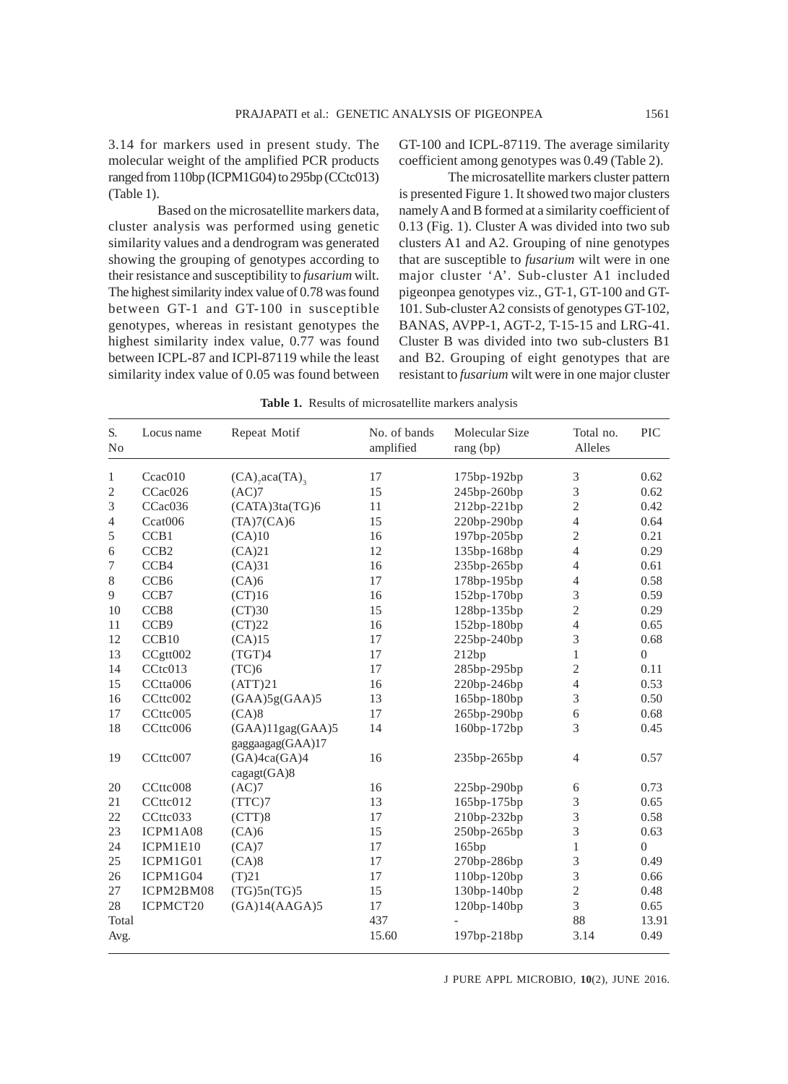3.14 for markers used in present study. The molecular weight of the amplified PCR products ranged from 110bp (ICPM1G04) to 295bp (CCtc013) (Table 1).

Based on the microsatellite markers data, cluster analysis was performed using genetic similarity values and a dendrogram was generated showing the grouping of genotypes according to their resistance and susceptibility to *fusarium* wilt. The highest similarity index value of 0.78 was found between GT-1 and GT-100 in susceptible genotypes, whereas in resistant genotypes the highest similarity index value, 0.77 was found between ICPL-87 and ICPl-87119 while the least similarity index value of 0.05 was found between GT-100 and ICPL-87119. The average similarity coefficient among genotypes was 0.49 (Table 2).

The microsatellite markers cluster pattern is presented Figure 1. It showed two major clusters namely A and B formed at a similarity coefficient of 0.13 (Fig. 1). Cluster A was divided into two sub clusters A1 and A2. Grouping of nine genotypes that are susceptible to *fusarium* wilt were in one major cluster 'A'. Sub-cluster A1 included pigeonpea genotypes viz., GT-1, GT-100 and GT-101. Sub-cluster A2 consists of genotypes GT-102, BANAS, AVPP-1, AGT-2, T-15-15 and LRG-41. Cluster B was divided into two sub-clusters B1 and B2. Grouping of eight genotypes that are resistant to *fusarium* wilt were in one major cluster

**Table 1.** Results of microsatellite markers analysis

| S.<br>No       | Locus name           | Repeat Motif                                | No. of bands<br>amplified | Molecular Size<br>rang (bp) | Total no.<br>Alleles | <b>PIC</b> |
|----------------|----------------------|---------------------------------------------|---------------------------|-----------------------------|----------------------|------------|
| 1              | C <sub>c</sub> ac010 | $(CA)$ <sub>7</sub> aca $(TA)$ <sub>3</sub> | 17                        | 175bp-192bp                 | 3                    | 0.62       |
| $\mathfrak{2}$ | CCac026              | (AC)7                                       | 15                        | 245bp-260bp                 | 3                    | 0.62       |
| 3              | CCac036              | (CATA)3ta(TG)6                              | 11                        | 212bp-221bp                 | 2                    | 0.42       |
| 4              | Ccat006              | (TA)7(CA)6                                  | 15                        | 220bp-290bp                 | 4                    | 0.64       |
| 5              | CCB1                 | (CA)10                                      | 16                        | 197bp-205bp                 | $\overline{c}$       | 0.21       |
| 6              | CCB <sub>2</sub>     | (CA)21                                      | 12                        | 135bp-168bp                 | 4                    | 0.29       |
| 7              | CCB4                 | (CA)31                                      | 16                        | 235bp-265bp                 | 4                    | 0.61       |
| $8\,$          | CCB <sub>6</sub>     | (CA)6                                       | 17                        | 178bp-195bp                 | 4                    | 0.58       |
| 9              | CCB7                 | (CT)16                                      | 16                        | 152bp-170bp                 | 3                    | 0.59       |
| 10             | CCB <sub>8</sub>     | (CT)30                                      | 15                        | 128bp-135bp                 | $\overline{c}$       | 0.29       |
| 11             | CCB9                 | (CT)22                                      | 16                        | 152bp-180bp                 | $\overline{4}$       | 0.65       |
| 12             | CCB10                | (CA)15                                      | 17                        | 225bp-240bp                 | 3                    | 0.68       |
| 13             | CCgtt002             | (TGT)4                                      | 17                        | 212bp                       | 1                    | $\Omega$   |
| 14             | C C t c 013          | (TC)6                                       | 17                        | 285bp-295bp                 | 2                    | 0.11       |
| 15             | CCtta006             | (ATT)21                                     | 16                        | 220bp-246bp                 | 4                    | 0.53       |
| 16             | CCttc002             | (GAA)5g(GAA)5                               | 13                        | 165bp-180bp                 | 3                    | 0.50       |
| 17             | CCttc005             | (CA)8                                       | 17                        | 265bp-290bp                 | 6                    | 0.68       |
| 18             | CCttc006             | $(GAA)11$ gag $(GAA)5$<br>gaggaagag(GAA)17  | 14                        | 160bp-172bp                 | 3                    | 0.45       |
| 19             | CCttc007             | (GA)4ca(GA)4<br>cagger(GA)8                 | 16                        | 235bp-265bp                 | 4                    | 0.57       |
| 20             | CCttc008             | (AC)7                                       | 16                        | 225bp-290bp                 | 6                    | 0.73       |
| 21             | CCttc012             | (TTC)7                                      | 13                        | 165bp-175bp                 | 3                    | 0.65       |
| 22             | CCttc033             | (CTT)8                                      | 17                        | 210bp-232bp                 | 3                    | 0.58       |
| 23             | ICPM1A08             | (CA)6                                       | 15                        | 250bp-265bp                 | 3                    | 0.63       |
| 24             | ICPM1E10             | (CA)7                                       | 17                        | 165bp                       | $\mathbf{1}$         | $\theta$   |
| 25             | ICPM1G01             | (CA)8                                       | 17                        | 270bp-286bp                 | 3                    | 0.49       |
| 26             | ICPM1G04             | (T)21                                       | 17                        | 110bp-120bp                 | 3                    | 0.66       |
| 27             | ICPM2BM08            | (TG)5n(TG)5                                 | 15                        | 130bp-140bp                 | $\overline{c}$       | 0.48       |
| 28             | ICPMCT20             | (GA)14(AAGA)5                               | 17                        | 120bp-140bp                 | 3                    | 0.65       |
| Total          |                      |                                             | 437                       |                             | 88                   | 13.91      |
| Avg.           |                      |                                             | 15.60                     | 197bp-218bp                 | 3.14                 | 0.49       |

J PURE APPL MICROBIO*,* **10**(2), JUNE 2016.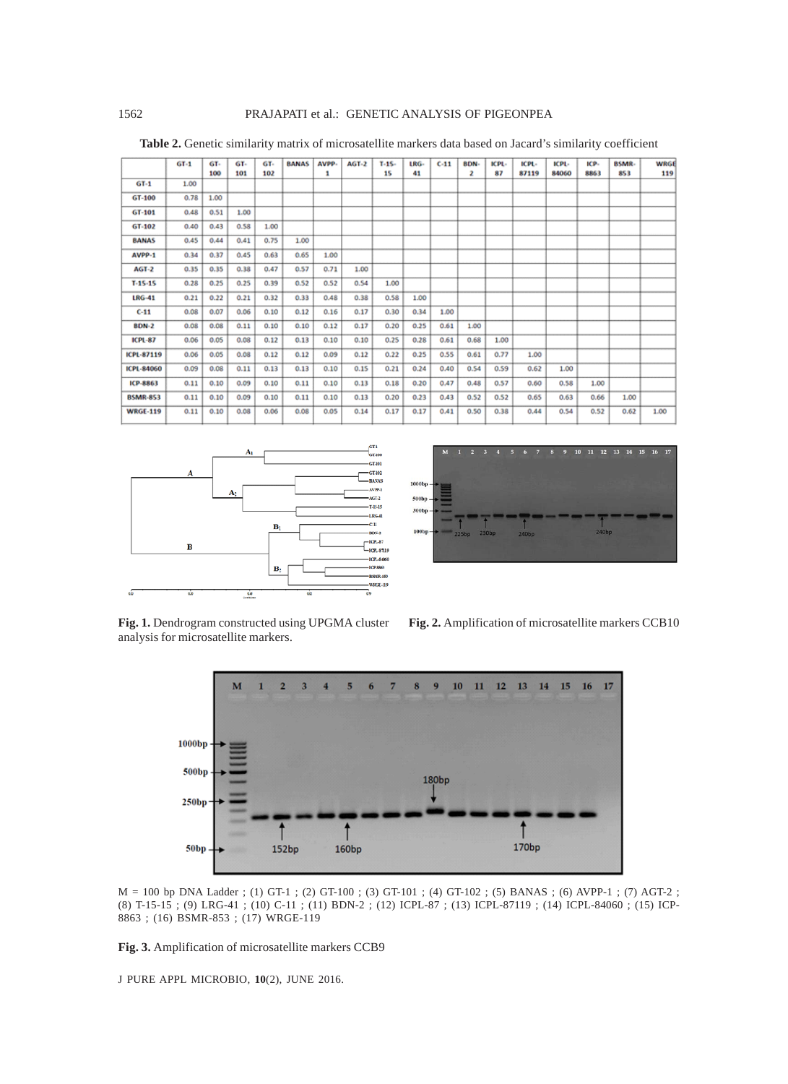|                 | $GT-1$ | GT-  | GT-  | GT-  | <b>BANAS</b> | AVPP- | $AGT-2$ | $T-15-$ | LRG- | $C-11$ | BDN- | ICPL- | ICPL- | ICPL- | ICP- | BSMR- | <b>WRGE</b> |
|-----------------|--------|------|------|------|--------------|-------|---------|---------|------|--------|------|-------|-------|-------|------|-------|-------------|
|                 |        | 100  | 101  | 102  |              | 1     |         | 15      | 41   |        | 2    | 87    | 87119 | 84060 | 8863 | 853   | 119         |
| $GT-1$          | 1.00   |      |      |      |              |       |         |         |      |        |      |       |       |       |      |       |             |
| GT-100          | 0.78   | 1.00 |      |      |              |       |         |         |      |        |      |       |       |       |      |       |             |
| GT-101          | 0.48   | 0.51 | 1.00 |      |              |       |         |         |      |        |      |       |       |       |      |       |             |
| GT-102          | 0.40   | 0.43 | 0.58 | 1.00 |              |       |         |         |      |        |      |       |       |       |      |       |             |
| <b>BANAS</b>    | 0.45   | 0.44 | 0.41 | 0.75 | 1.00         |       |         |         |      |        |      |       |       |       |      |       |             |
| AVPP-1          | 0.34   | 0.37 | 0.45 | 0.63 | 0.65         | 1.00  |         |         |      |        |      |       |       |       |      |       |             |
| $AGI-2$         | 0.35   | 0.35 | 0.38 | 0.47 | 0.57         | 0.71  | 1.00    |         |      |        |      |       |       |       |      |       |             |
| $T-15-15$       | 0.28   | 0.25 | 0.25 | 0.39 | 0.52         | 0.52  | 0.54    | 1.00    |      |        |      |       |       |       |      |       |             |
| <b>LRG-41</b>   | 0.21   | 0.22 | 0.21 | 0.32 | 0.33         | 0.48  | 0.38    | 0.58    | 1.00 |        |      |       |       |       |      |       |             |
| $C-11$          | 0.08   | 0.07 | 0.06 | 0.10 | 0.12         | 0.16  | 0.17    | 0.30    | 0.34 | 1.00   |      |       |       |       |      |       |             |
| <b>BDN-2</b>    | 0.08   | 0.08 | 0.11 | 0.10 | 0.10         | 0.12  | 0.17    | 0.20    | 0.25 | 0.61   | 1.00 |       |       |       |      |       |             |
| <b>ICPL-87</b>  | 0.06   | 0.05 | 0.08 | 0.12 | 0.13         | 0.10  | 0.10    | 0.25    | 0.28 | 0.61   | 0.68 | 1.00  |       |       |      |       |             |
| ICPL-87119      | 0.06   | 0.05 | 0.08 | 0.12 | 0.12         | 0.09  | 0.12    | 0.22    | 0.25 | 0.55   | 0.61 | 0.77  | 1.00  |       |      |       |             |
| ICPL-84060      | 0.09   | 0.08 | 0.11 | 0.13 | 0.13         | 0.10  | 0.15    | 0.21    | 0.24 | 0.40   | 0.54 | 0.59  | 0.62  | 1.00  |      |       |             |
| ICP-8863        | 0.11   | 0.10 | 0.09 | 0.10 | 0.11         | 0.10  | 0.13    | 0.18    | 0.20 | 0.47   | 0.48 | 0.57  | 0.60  | 0.58  | 1.00 |       |             |
| <b>BSMR-853</b> | 0.11   | 0.10 | 0.09 | 0.10 | 0.11         | 0.10  | 0.13    | 0.20    | 0.23 | 0.43   | 0.52 | 0.52  | 0.65  | 0.63  | 0.66 | 1.00  |             |
| <b>WRGE-119</b> | 0.11   | 0.10 | 0.08 | 0.06 | 0.08         | 0.05  | 0.14    | 0.17    | 0.17 | 0.41   | 0.50 | 0.38  | 0.44  | 0.54  | 0.52 | 0.62  | 1.00        |

**Table 2.** Genetic similarity matrix of microsatellite markers data based on Jacard's similarity coefficient



 $1000<sub>b</sub>$ 500bp 300bp —<br>240bp  $100bp$ 

**Fig. 1.** Dendrogram constructed using UPGMA cluster analysis for microsatellite markers.





M = 100 bp DNA Ladder ; (1) GT-1 ; (2) GT-100 ; (3) GT-101 ; (4) GT-102 ; (5) BANAS ; (6) AVPP-1 ; (7) AGT-2 ; (8) T-15-15 ; (9) LRG-41 ; (10) C-11 ; (11) BDN-2 ; (12) ICPL-87 ; (13) ICPL-87119 ; (14) ICPL-84060 ; (15) ICP-8863 ; (16) BSMR-853 ; (17) WRGE-119

**Fig. 3.** Amplification of microsatellite markers CCB9

J PURE APPL MICROBIO*,* **10**(2), JUNE 2016.